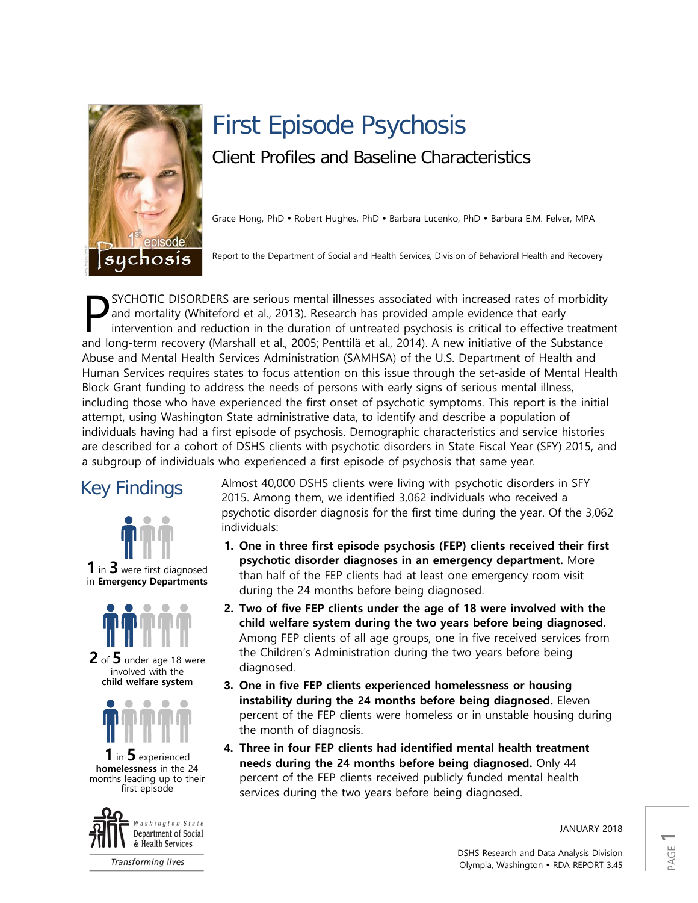

# First Episode Psychosis Client Profiles and Baseline Characteristics

Grace Hong, PhD • Robert Hughes, PhD • Barbara Lucenko, PhD • Barbara E.M. Felver, MPA

Report to the Department of Social and Health Services, Division of Behavioral Health and Recovery

SYCHOTIC DISORDERS are serious mental illnesses associated with increased rates of morbidity and mortality (Whiteford et al., 2013). Research has provided ample evidence that early intervention and reduction in the duration of untreated psychosis is critical to effective treatment SYCHOTIC DISORDERS are serious mental illnesses associated with increased rates of morbidity and mortality (Whiteford et al., 2013). Research has provided ample evidence that early intervention and reduction in the duratio Abuse and Mental Health Services Administration (SAMHSA) of the U.S. Department of Health and Human Services requires states to focus attention on this issue through the set-aside of Mental Health Block Grant funding to address the needs of persons with early signs of serious mental illness, including those who have experienced the first onset of psychotic symptoms. This report is the initial attempt, using Washington State administrative data, to identify and describe a population of individuals having had a first episode of psychosis. Demographic characteristics and service histories are described for a cohort of DSHS clients with psychotic disorders in State Fiscal Year (SFY) 2015, and a subgroup of individuals who experienced a first episode of psychosis that same year.



**1** in **3** were first diagnosed in **Emergency Departments**



**2** of **5** under age 18 were involved with the **child welfare system**



**1** in **5** experienced **homelessness** in the 24 months leading up to their first episode



**Transforming lives** 

Key Findings Almost 40,000 DSHS clients were living with psychotic disorders in SFY 2015. Among them, we identified 3,062 individuals who received a psychotic disorder diagnosis for the first time during the year. Of the 3,062 individuals:

- **1. One in three first episode psychosis (FEP) clients received their first psychotic disorder diagnoses in an emergency department.** More than half of the FEP clients had at least one emergency room visit during the 24 months before being diagnosed.
- **2. Two of five FEP clients under the age of 18 were involved with the child welfare system during the two years before being diagnosed.**  Among FEP clients of all age groups, one in five received services from the Children's Administration during the two years before being diagnosed.
- **3. One in five FEP clients experienced homelessness or housing instability during the 24 months before being diagnosed.** Eleven percent of the FEP clients were homeless or in unstable housing during the month of diagnosis.
- **4. Three in four FEP clients had identified mental health treatment needs during the 24 months before being diagnosed.** Only 44 percent of the FEP clients received publicly funded mental health services during the two years before being diagnosed.

JANUARY 2018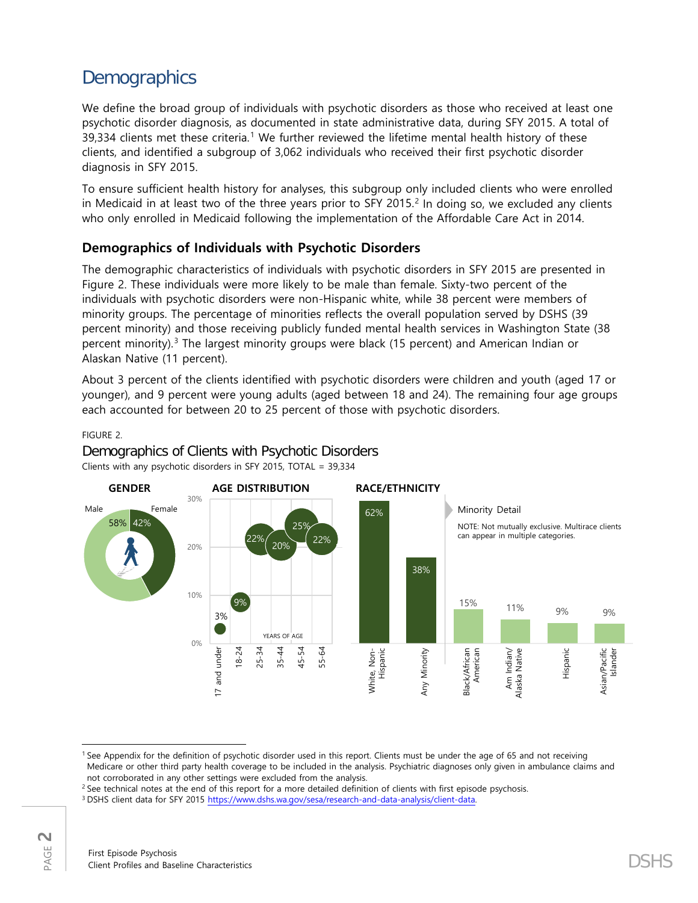# **Demographics**

We define the broad group of individuals with psychotic disorders as those who received at least one psychotic disorder diagnosis, as documented in state administrative data, during SFY 2015. A total of 39,334 clients met these criteria.<sup>[1](#page-1-0)</sup> We further reviewed the lifetime mental health history of these clients, and identified a subgroup of 3,062 individuals who received their first psychotic disorder diagnosis in SFY 2015.

To ensure sufficient health history for analyses, this subgroup only included clients who were enrolled in Medicaid in at least two of the three years prior to SFY [2](#page-1-1)015. $<sup>2</sup>$  In doing so, we excluded any clients</sup> who only enrolled in Medicaid following the implementation of the Affordable Care Act in 2014.

# **Demographics of Individuals with Psychotic Disorders**

The demographic characteristics of individuals with psychotic disorders in SFY 2015 are presented in Figure 2. These individuals were more likely to be male than female. Sixty-two percent of the individuals with psychotic disorders were non-Hispanic white, while 38 percent were members of minority groups. The percentage of minorities reflects the overall population served by DSHS (39 percent minority) and those receiving publicly funded mental health services in Washington State (38 percent minority). [3](#page-1-2) The largest minority groups were black (15 percent) and American Indian or Alaskan Native (11 percent).

About 3 percent of the clients identified with psychotic disorders were children and youth (aged 17 or younger), and 9 percent were young adults (aged between 18 and 24). The remaining four age groups each accounted for between 20 to 25 percent of those with psychotic disorders.

## FIGURE 2.

Demographics of Clients with Psychotic Disorders Clients with any psychotic disorders in SFY 2015, TOTAL = 39,334



<span id="page-1-0"></span>l <sup>1</sup> See Appendix for the definition of psychotic disorder used in this report. Clients must be under the age of 65 and not receiving Medicare or other third party health coverage to be included in the analysis. Psychiatric diagnoses only given in ambulance claims and not corroborated in any other settings were excluded from the analysis.

<span id="page-1-1"></span><sup>&</sup>lt;sup>2</sup> See technical notes at the end of this report for a more detailed definition of clients with first episode psychosis.

<span id="page-1-2"></span><sup>3</sup> DSHS client data for SFY 2015 [https://www.dshs.wa.gov/sesa/research-and-data-analysis/client-data.](https://www.dshs.wa.gov/sesa/research-and-data-analysis/client-data)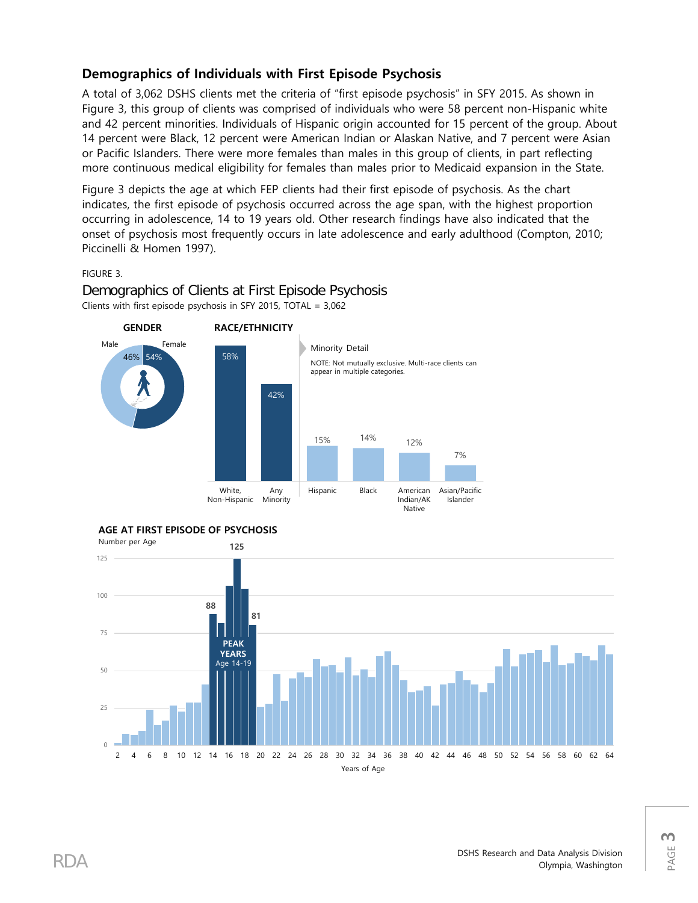# **Demographics of Individuals with First Episode Psychosis**

A total of 3,062 DSHS clients met the criteria of "first episode psychosis" in SFY 2015. As shown in Figure 3, this group of clients was comprised of individuals who were 58 percent non-Hispanic white and 42 percent minorities. Individuals of Hispanic origin accounted for 15 percent of the group. About 14 percent were Black, 12 percent were American Indian or Alaskan Native, and 7 percent were Asian or Pacific Islanders. There were more females than males in this group of clients, in part reflecting more continuous medical eligibility for females than males prior to Medicaid expansion in the State.

Figure 3 depicts the age at which FEP clients had their first episode of psychosis. As the chart indicates, the first episode of psychosis occurred across the age span, with the highest proportion occurring in adolescence, 14 to 19 years old. Other research findings have also indicated that the onset of psychosis most frequently occurs in late adolescence and early adulthood (Compton, 2010; Piccinelli & Homen 1997).

#### FIGURE 3.



Demographics of Clients at First Episode Psychosis Clients with first episode psychosis in SFY 2015, TOTAL = 3,062





PAGE **3**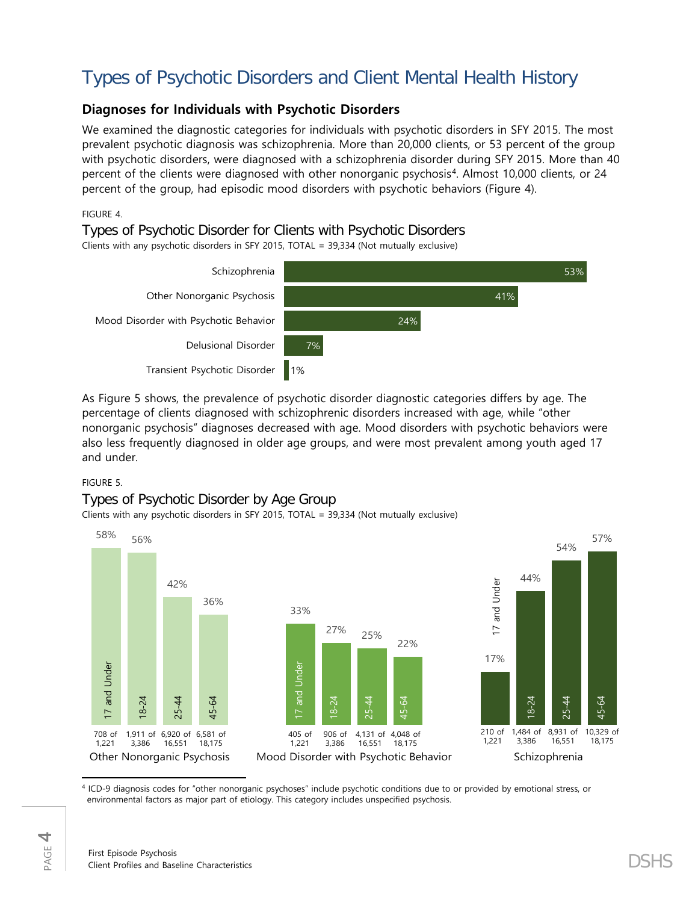# Types of Psychotic Disorders and Client Mental Health History

# **Diagnoses for Individuals with Psychotic Disorders**

We examined the diagnostic categories for individuals with psychotic disorders in SFY 2015. The most prevalent psychotic diagnosis was schizophrenia. More than 20,000 clients, or 53 percent of the group with psychotic disorders, were diagnosed with a schizophrenia disorder during SFY 2015. More than 40 percent of the clients were diagnosed with other nonorganic psychosis[4](#page-3-0). Almost 10,000 clients, or 24 percent of the group, had episodic mood disorders with psychotic behaviors (Figure 4).

## FIGURE 4.

# Types of Psychotic Disorder for Clients with Psychotic Disorders

Clients with any psychotic disorders in SFY 2015, TOTAL = 39,334 (Not mutually exclusive)



As Figure 5 shows, the prevalence of psychotic disorder diagnostic categories differs by age. The percentage of clients diagnosed with schizophrenic disorders increased with age, while "other nonorganic psychosis" diagnoses decreased with age. Mood disorders with psychotic behaviors were also less frequently diagnosed in older age groups, and were most prevalent among youth aged 17 and under.

## FIGURE 5.

## Types of Psychotic Disorder by Age Group

Clients with any psychotic disorders in SFY 2015, TOTAL = 39,334 (Not mutually exclusive)



<span id="page-3-0"></span><sup>4</sup> ICD-9 diagnosis codes for "other nonorganic psychoses" include psychotic conditions due to or provided by emotional stress, or environmental factors as major part of etiology. This category includes unspecified psychosis.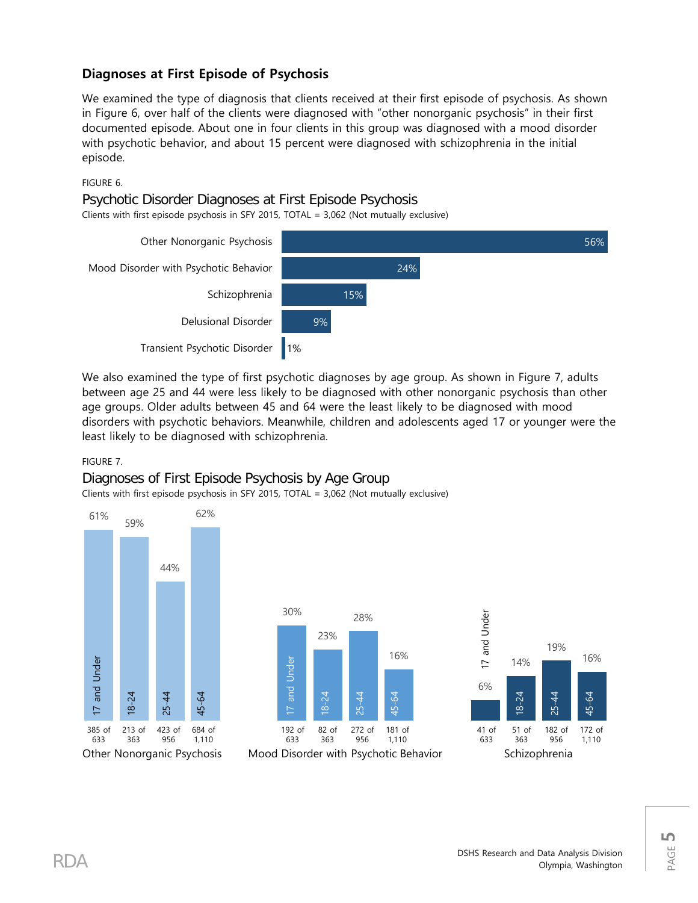# **Diagnoses at First Episode of Psychosis**

We examined the type of diagnosis that clients received at their first episode of psychosis. As shown in Figure 6, over half of the clients were diagnosed with "other nonorganic psychosis" in their first documented episode. About one in four clients in this group was diagnosed with a mood disorder with psychotic behavior, and about 15 percent were diagnosed with schizophrenia in the initial episode.

## FIGURE 6.

## Psychotic Disorder Diagnoses at First Episode Psychosis

Clients with first episode psychosis in SFY 2015, TOTAL = 3,062 (Not mutually exclusive)



We also examined the type of first psychotic diagnoses by age group. As shown in Figure 7, adults between age 25 and 44 were less likely to be diagnosed with other nonorganic psychosis than other age groups. Older adults between 45 and 64 were the least likely to be diagnosed with mood disorders with psychotic behaviors. Meanwhile, children and adolescents aged 17 or younger were the least likely to be diagnosed with schizophrenia.

## FIGURE 7.

# Diagnoses of First Episode Psychosis by Age Group

Clients with first episode psychosis in SFY 2015, TOTAL = 3,062 (Not mutually exclusive)





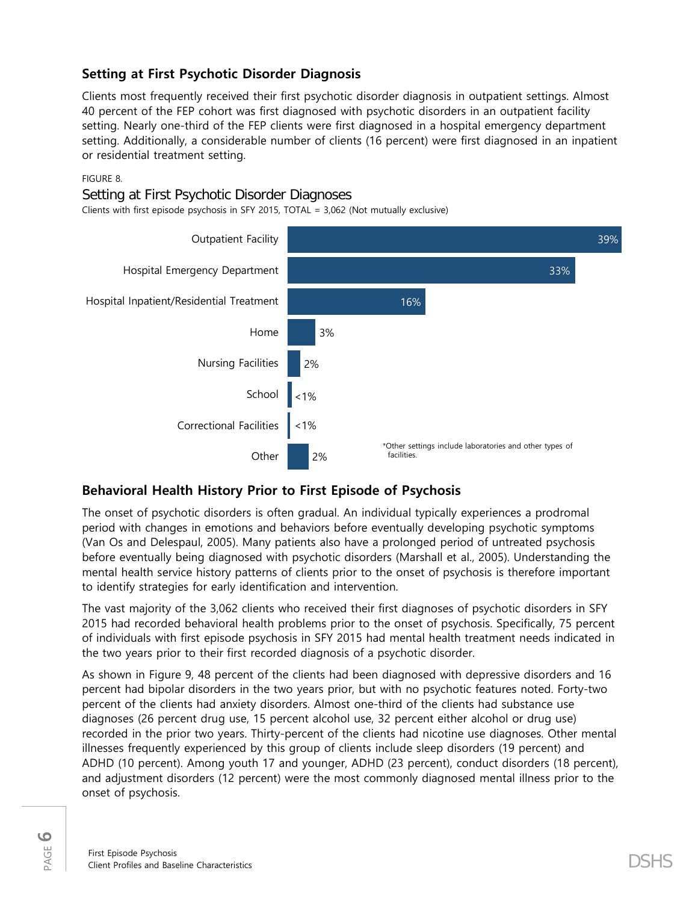# **Setting at First Psychotic Disorder Diagnosis**

Clients most frequently received their first psychotic disorder diagnosis in outpatient settings. Almost 40 percent of the FEP cohort was first diagnosed with psychotic disorders in an outpatient facility setting. Nearly one-third of the FEP clients were first diagnosed in a hospital emergency department setting. Additionally, a considerable number of clients (16 percent) were first diagnosed in an inpatient or residential treatment setting.

#### FIGURE 8.

## Setting at First Psychotic Disorder Diagnoses

Clients with first episode psychosis in SFY 2015, TOTAL = 3,062 (Not mutually exclusive)



# **Behavioral Health History Prior to First Episode of Psychosis**

The onset of psychotic disorders is often gradual. An individual typically experiences a prodromal period with changes in emotions and behaviors before eventually developing psychotic symptoms (Van Os and Delespaul, 2005). Many patients also have a prolonged period of untreated psychosis before eventually being diagnosed with psychotic disorders (Marshall et al., 2005). Understanding the mental health service history patterns of clients prior to the onset of psychosis is therefore important to identify strategies for early identification and intervention.

The vast majority of the 3,062 clients who received their first diagnoses of psychotic disorders in SFY 2015 had recorded behavioral health problems prior to the onset of psychosis. Specifically, 75 percent of individuals with first episode psychosis in SFY 2015 had mental health treatment needs indicated in the two years prior to their first recorded diagnosis of a psychotic disorder.

As shown in Figure 9, 48 percent of the clients had been diagnosed with depressive disorders and 16 percent had bipolar disorders in the two years prior, but with no psychotic features noted. Forty-two percent of the clients had anxiety disorders. Almost one-third of the clients had substance use diagnoses (26 percent drug use, 15 percent alcohol use, 32 percent either alcohol or drug use) recorded in the prior two years. Thirty-percent of the clients had nicotine use diagnoses. Other mental illnesses frequently experienced by this group of clients include sleep disorders (19 percent) and ADHD (10 percent). Among youth 17 and younger, ADHD (23 percent), conduct disorders (18 percent), and adjustment disorders (12 percent) were the most commonly diagnosed mental illness prior to the onset of psychosis.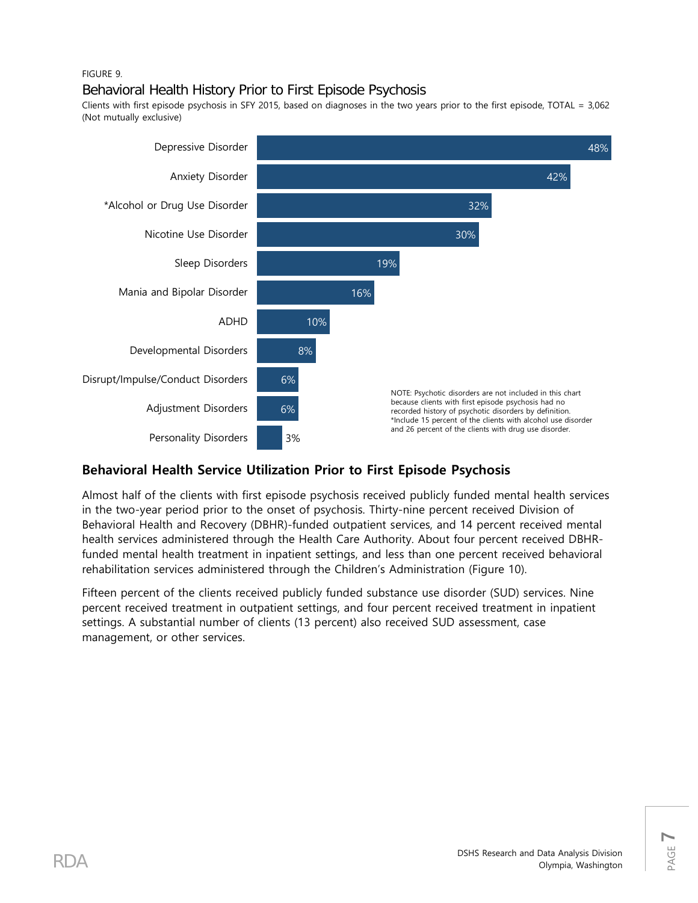## FIGURE 9.

# Behavioral Health History Prior to First Episode Psychosis

Clients with first episode psychosis in SFY 2015, based on diagnoses in the two years prior to the first episode, TOTAL = 3,062 (Not mutually exclusive)



# **Behavioral Health Service Utilization Prior to First Episode Psychosis**

Almost half of the clients with first episode psychosis received publicly funded mental health services in the two-year period prior to the onset of psychosis. Thirty-nine percent received Division of Behavioral Health and Recovery (DBHR)-funded outpatient services, and 14 percent received mental health services administered through the Health Care Authority. About four percent received DBHRfunded mental health treatment in inpatient settings, and less than one percent received behavioral rehabilitation services administered through the Children's Administration (Figure 10).

Fifteen percent of the clients received publicly funded substance use disorder (SUD) services. Nine percent received treatment in outpatient settings, and four percent received treatment in inpatient settings. A substantial number of clients (13 percent) also received SUD assessment, case management, or other services.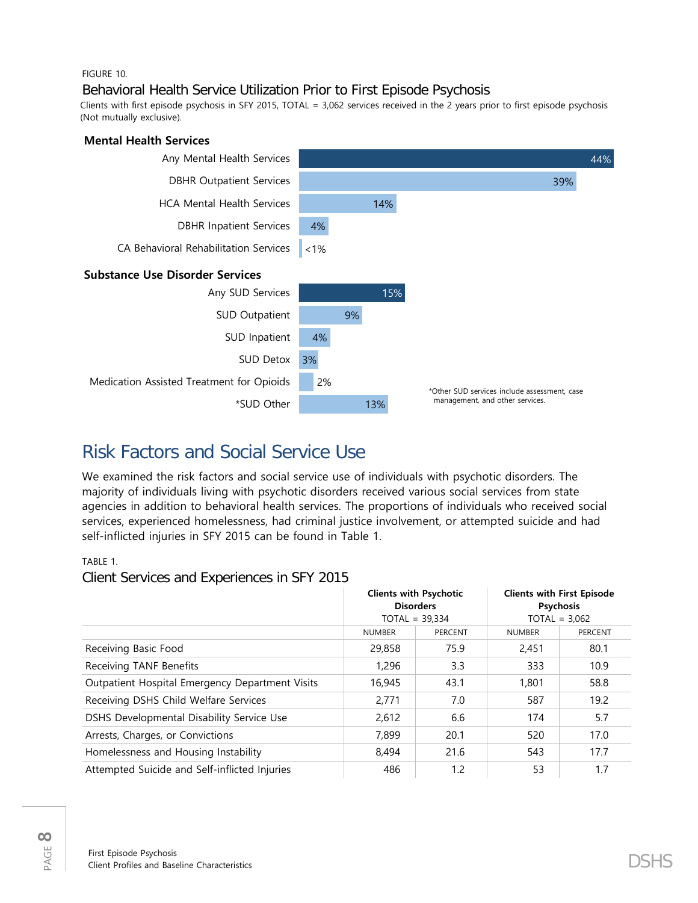#### FIGURE 10.

# Behavioral Health Service Utilization Prior to First Episode Psychosis

Clients with first episode psychosis in SFY 2015, TOTAL = 3,062 services received in the 2 years prior to first episode psychosis (Not mutually exclusive).



# Risk Factors and Social Service Use

We examined the risk factors and social service use of individuals with psychotic disorders. The majority of individuals living with psychotic disorders received various social services from state agencies in addition to behavioral health services. The proportions of individuals who received social services, experienced homelessness, had criminal justice involvement, or attempted suicide and had self-inflicted injuries in SFY 2015 can be found in Table 1.

TABLE 1.

## Client Services and Experiences in SFY 2015

|                                                 | <b>Clients with Psychotic</b><br><b>Disorders</b><br>$TOTAL = 39,334$ |         | <b>Clients with First Episode</b><br><b>Psychosis</b><br>$TOTAL = 3,062$ |                |
|-------------------------------------------------|-----------------------------------------------------------------------|---------|--------------------------------------------------------------------------|----------------|
|                                                 | <b>NUMBER</b>                                                         | PERCENT | <b>NUMBER</b>                                                            | <b>PERCENT</b> |
| Receiving Basic Food                            | 29,858                                                                | 75.9    | 2,451                                                                    | 80.1           |
| Receiving TANF Benefits                         | 1,296                                                                 | 3.3     | 333                                                                      | 10.9           |
| Outpatient Hospital Emergency Department Visits | 16,945                                                                | 43.1    | 1,801                                                                    | 58.8           |
| Receiving DSHS Child Welfare Services           | 2,771                                                                 | 7.0     | 587                                                                      | 19.2           |
| DSHS Developmental Disability Service Use       | 2,612                                                                 | 6.6     | 174                                                                      | 5.7            |
| Arrests, Charges, or Convictions                | 7,899                                                                 | 20.1    | 520                                                                      | 17.0           |
| Homelessness and Housing Instability            | 8,494                                                                 | 21.6    | 543                                                                      | 17.7           |
| Attempted Suicide and Self-inflicted Injuries   | 486                                                                   | 1.2     | 53                                                                       | 1.7            |

PAGE **8**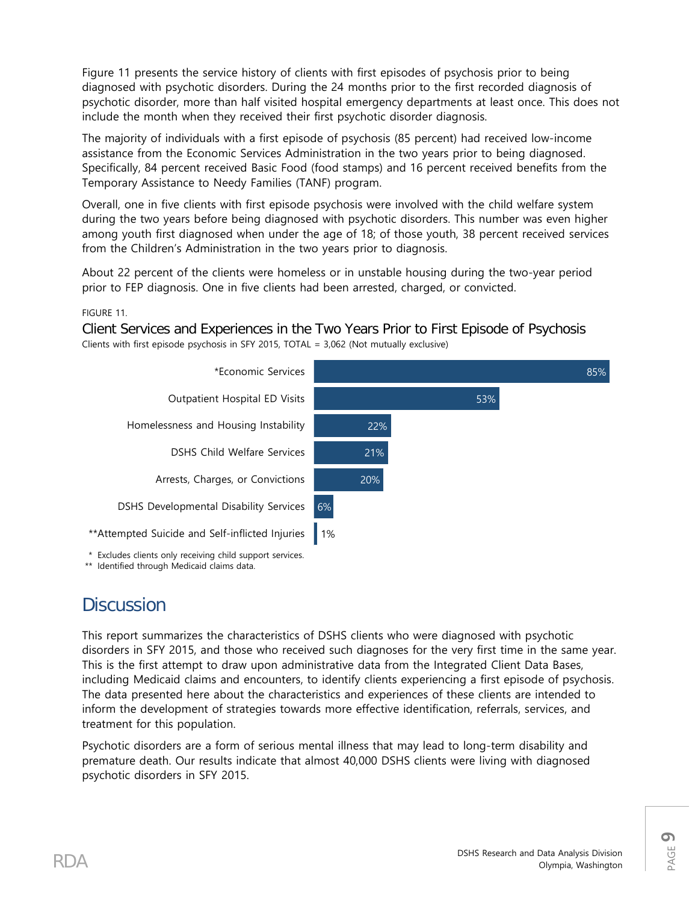Figure 11 presents the service history of clients with first episodes of psychosis prior to being diagnosed with psychotic disorders. During the 24 months prior to the first recorded diagnosis of psychotic disorder, more than half visited hospital emergency departments at least once. This does not include the month when they received their first psychotic disorder diagnosis.

The majority of individuals with a first episode of psychosis (85 percent) had received low-income assistance from the Economic Services Administration in the two years prior to being diagnosed. Specifically, 84 percent received Basic Food (food stamps) and 16 percent received benefits from the Temporary Assistance to Needy Families (TANF) program.

Overall, one in five clients with first episode psychosis were involved with the child welfare system during the two years before being diagnosed with psychotic disorders. This number was even higher among youth first diagnosed when under the age of 18; of those youth, 38 percent received services from the Children's Administration in the two years prior to diagnosis.

About 22 percent of the clients were homeless or in unstable housing during the two-year period prior to FEP diagnosis. One in five clients had been arrested, charged, or convicted.

## FIGURE 11.

Client Services and Experiences in the Two Years Prior to First Episode of Psychosis Clients with first episode psychosis in SFY 2015, TOTAL = 3,062 (Not mutually exclusive)



\* Excludes clients only receiving child support services.

\*\* Identified through Medicaid claims data.

# **Discussion**

This report summarizes the characteristics of DSHS clients who were diagnosed with psychotic disorders in SFY 2015, and those who received such diagnoses for the very first time in the same year. This is the first attempt to draw upon administrative data from the Integrated Client Data Bases, including Medicaid claims and encounters, to identify clients experiencing a first episode of psychosis. The data presented here about the characteristics and experiences of these clients are intended to inform the development of strategies towards more effective identification, referrals, services, and treatment for this population.

Psychotic disorders are a form of serious mental illness that may lead to long-term disability and premature death. Our results indicate that almost 40,000 DSHS clients were living with diagnosed psychotic disorders in SFY 2015.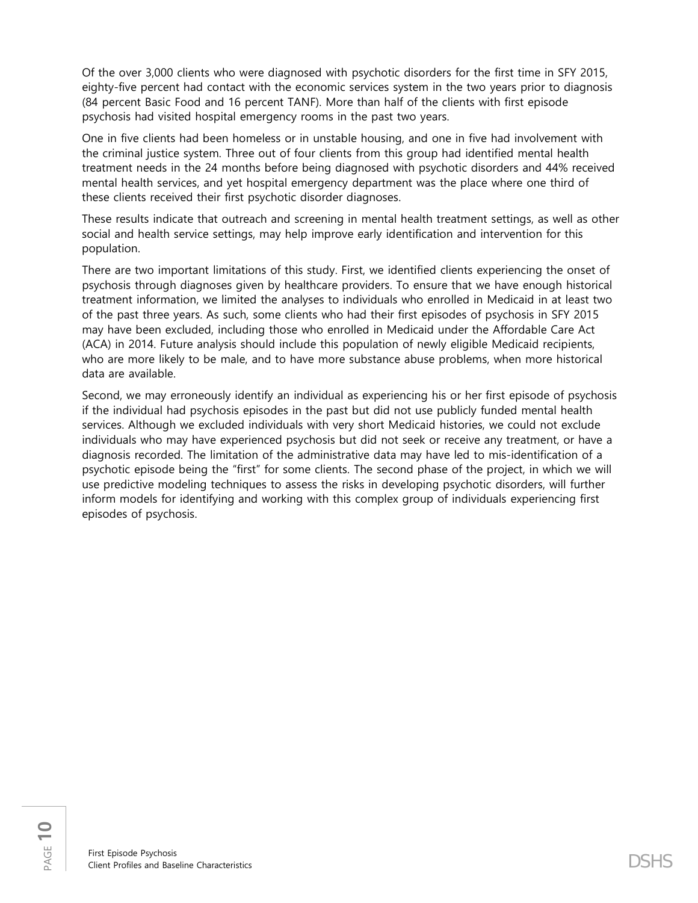Of the over 3,000 clients who were diagnosed with psychotic disorders for the first time in SFY 2015, eighty-five percent had contact with the economic services system in the two years prior to diagnosis (84 percent Basic Food and 16 percent TANF). More than half of the clients with first episode psychosis had visited hospital emergency rooms in the past two years.

One in five clients had been homeless or in unstable housing, and one in five had involvement with the criminal justice system. Three out of four clients from this group had identified mental health treatment needs in the 24 months before being diagnosed with psychotic disorders and 44% received mental health services, and yet hospital emergency department was the place where one third of these clients received their first psychotic disorder diagnoses.

These results indicate that outreach and screening in mental health treatment settings, as well as other social and health service settings, may help improve early identification and intervention for this population.

There are two important limitations of this study. First, we identified clients experiencing the onset of psychosis through diagnoses given by healthcare providers. To ensure that we have enough historical treatment information, we limited the analyses to individuals who enrolled in Medicaid in at least two of the past three years. As such, some clients who had their first episodes of psychosis in SFY 2015 may have been excluded, including those who enrolled in Medicaid under the Affordable Care Act (ACA) in 2014. Future analysis should include this population of newly eligible Medicaid recipients, who are more likely to be male, and to have more substance abuse problems, when more historical data are available.

Second, we may erroneously identify an individual as experiencing his or her first episode of psychosis if the individual had psychosis episodes in the past but did not use publicly funded mental health services. Although we excluded individuals with very short Medicaid histories, we could not exclude individuals who may have experienced psychosis but did not seek or receive any treatment, or have a diagnosis recorded. The limitation of the administrative data may have led to mis-identification of a psychotic episode being the "first" for some clients. The second phase of the project, in which we will use predictive modeling techniques to assess the risks in developing psychotic disorders, will further inform models for identifying and working with this complex group of individuals experiencing first episodes of psychosis.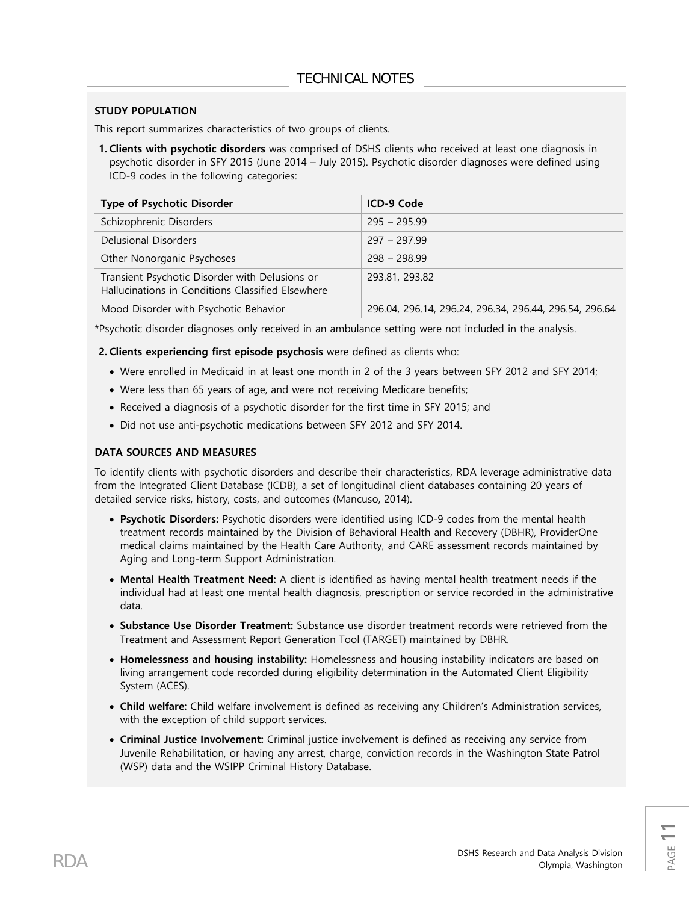#### **STUDY POPULATION**

This report summarizes characteristics of two groups of clients.

**1. Clients with psychotic disorders** was comprised of DSHS clients who received at least one diagnosis in psychotic disorder in SFY 2015 (June 2014 – July 2015). Psychotic disorder diagnoses were defined using ICD-9 codes in the following categories:

| <b>Type of Psychotic Disorder</b>                                                                   | ICD-9 Code                                             |
|-----------------------------------------------------------------------------------------------------|--------------------------------------------------------|
| Schizophrenic Disorders                                                                             | $295 - 295.99$                                         |
| Delusional Disorders                                                                                | $297 - 297.99$                                         |
| Other Nonorganic Psychoses                                                                          | $298 - 298.99$                                         |
| Transient Psychotic Disorder with Delusions or<br>Hallucinations in Conditions Classified Elsewhere | 293.81, 293.82                                         |
| Mood Disorder with Psychotic Behavior                                                               | 296.04, 296.14, 296.24, 296.34, 296.44, 296.54, 296.64 |

\*Psychotic disorder diagnoses only received in an ambulance setting were not included in the analysis.

**2. Clients experiencing first episode psychosis** were defined as clients who:

- Were enrolled in Medicaid in at least one month in 2 of the 3 years between SFY 2012 and SFY 2014;
- Were less than 65 years of age, and were not receiving Medicare benefits;
- Received a diagnosis of a psychotic disorder for the first time in SFY 2015; and
- Did not use anti-psychotic medications between SFY 2012 and SFY 2014.

#### **DATA SOURCES AND MEASURES**

To identify clients with psychotic disorders and describe their characteristics, RDA leverage administrative data from the Integrated Client Database (ICDB), a set of longitudinal client databases containing 20 years of detailed service risks, history, costs, and outcomes (Mancuso, 2014).

- **Psychotic Disorders:** Psychotic disorders were identified using ICD-9 codes from the mental health treatment records maintained by the Division of Behavioral Health and Recovery (DBHR), ProviderOne medical claims maintained by the Health Care Authority, and CARE assessment records maintained by Aging and Long-term Support Administration.
- **Mental Health Treatment Need:** A client is identified as having mental health treatment needs if the individual had at least one mental health diagnosis, prescription or service recorded in the administrative data.
- **Substance Use Disorder Treatment:** Substance use disorder treatment records were retrieved from the Treatment and Assessment Report Generation Tool (TARGET) maintained by DBHR.
- **Homelessness and housing instability:** Homelessness and housing instability indicators are based on living arrangement code recorded during eligibility determination in the Automated Client Eligibility System (ACES).
- **Child welfare:** Child welfare involvement is defined as receiving any Children's Administration services, with the exception of child support services.
- **Criminal Justice Involvement:** Criminal justice involvement is defined as receiving any service from Juvenile Rehabilitation, or having any arrest, charge, conviction records in the Washington State Patrol (WSP) data and the WSIPP Criminal History Database.